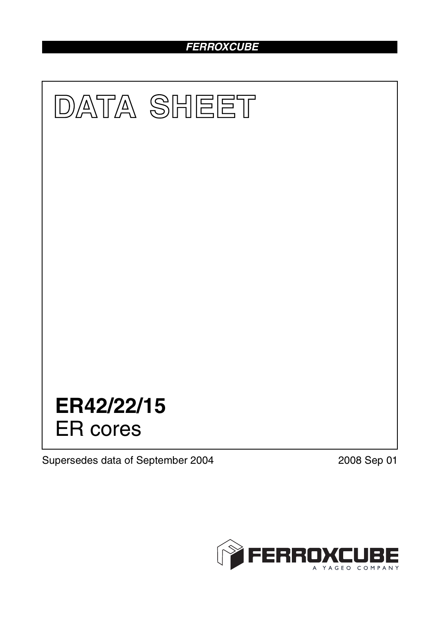# *FERROXCUBE*



Supersedes data of September 2004 2008 Sep 01

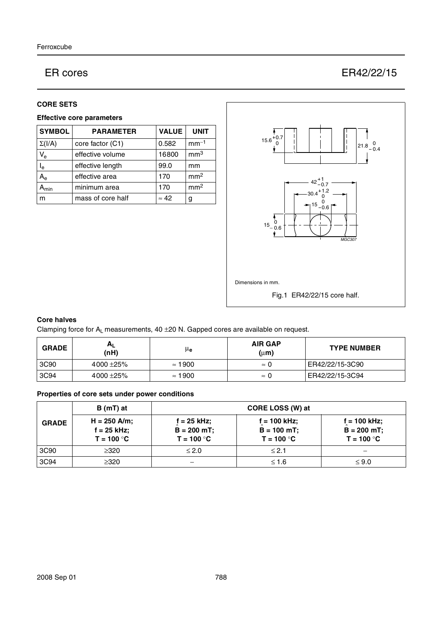# ER cores ER42/22/15

## **CORE SETS**

# **Effective core parameters**

| <b>SYMBOL</b>           | <b>PARAMETER</b>  | <b>VALUE</b> | <b>UNIT</b>     |
|-------------------------|-------------------|--------------|-----------------|
| $\Sigma(I/A)$           | core factor (C1)  | 0.582        | $mm-1$          |
| $V_{e}$                 | effective volume  | 16800        | mm <sup>3</sup> |
| $\mathsf{I}_\mathsf{e}$ | effective length  | 99.0         | mm              |
| $A_{e}$                 | effective area    | 170          | mm <sup>2</sup> |
| <b>min</b>              | minimum area      | 170          | mm <sup>2</sup> |
| m                       | mass of core half | $\approx 42$ | g               |



## **Core halves**

Clamping force for  $A_L$  measurements, 40  $\pm$ 20 N. Gapped cores are available on request.

| <b>GRADE</b> | $A_L$<br>(nH)  | μe             | <b>AIR GAP</b><br>$(\mu m)$ | <b>TYPE NUMBER</b> |
|--------------|----------------|----------------|-----------------------------|--------------------|
| 3C90         | $4000 + 25%$   | $\approx$ 1900 | $\approx 0$                 | ER42/22/15-3C90    |
| 3C94         | 4000 $\pm$ 25% | $\approx$ 1900 | $\approx 0$                 | ER42/22/15-3C94    |

## **Properties of core sets under power conditions**

|              | B (mT) at                                       |                                               | CORE LOSS (W) at                                 |                                               |
|--------------|-------------------------------------------------|-----------------------------------------------|--------------------------------------------------|-----------------------------------------------|
| <b>GRADE</b> | $H = 250$ A/m;<br>$f = 25$ kHz;<br>$T = 100 °C$ | f = 25 kHz;<br>$B = 200 mT$ ;<br>$T = 100 °C$ | $f = 100$ kHz;<br>$B = 100 mT$ ;<br>$T = 100 °C$ | f = 100 kHz;<br>$B = 200$ mT;<br>$T = 100 °C$ |
| 3C90         | $\geq 320$                                      | $\leq 2.0$                                    | $\leq$ 2.1                                       |                                               |
| 3C94         | $\geq 320$                                      |                                               | $≤ 1.6$                                          | $\leq 9.0$                                    |